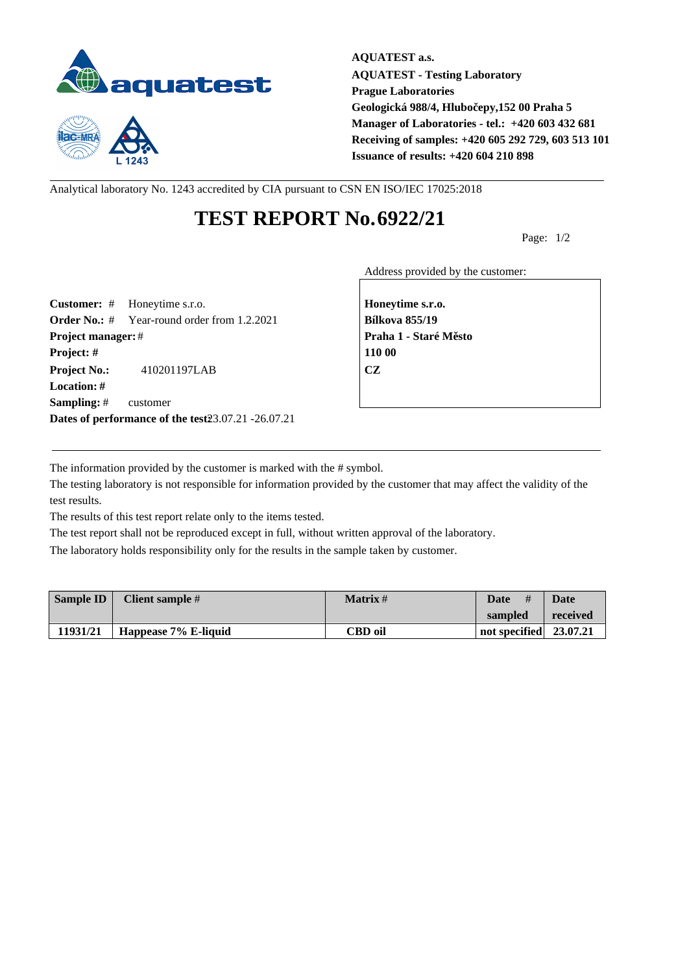



**AQUATEST a.s. AQUATEST - Testing Laboratory Prague Laboratories Geologická 988/4, Hlubočepy,152 00 Praha 5 Manager of Laboratories - tel.: +420 603 432 681 Receiving of samples: +420 605 292 729, 603 513 101 Issuance of results: +420 604 210 898**

Analytical laboratory No. 1243 accredited by CIA pursuant to CSN EN ISO/IEC 17025:2018

## **TEST REPORT No.6922/21**

Page: 1/2

Address provided by the customer:

**Customer:** # Honeytime s.r.o. **Honeytime s.r.o. Order No.:** # Year-round order from 1.2.2021 **Bílkova 855/19 Project manager:** # **Project manager:** # **Praha 1 - Staré M** sto **Project: # 110 00 Project No.:** 410201197LAB **CZ Location: # Sampling:** # customer **Dates of performance of the test23.07.21 -26.07.21** 

The information provided by the customer is marked with the # symbol.

The testing laboratory is not responsible for information provided by the customer that may affect the validity of the test results.

The results of this test report relate only to the items tested.

The test report shall not be reproduced except in full, without written approval of the laboratory.

The laboratory holds responsibility only for the results in the sample taken by customer.

| <b>Sample ID</b> | Client sample #      | <b>Matrix</b> # | Date<br>#              | Date     |
|------------------|----------------------|-----------------|------------------------|----------|
|                  |                      |                 | sampled                | received |
| 11931/21         | Happease 7% E-liquid | CBD oil         | not specified 23.07.21 |          |